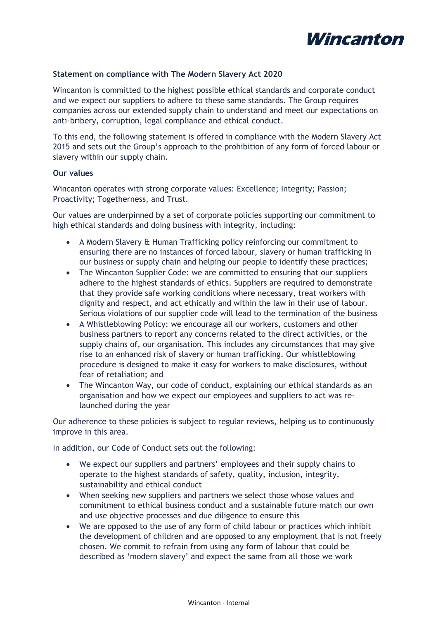

## **Statement on compliance with The Modern Slavery Act 2020**

Wincanton is committed to the highest possible ethical standards and corporate conduct and we expect our suppliers to adhere to these same standards. The Group requires companies across our extended supply chain to understand and meet our expectations on anti-bribery, corruption, legal compliance and ethical conduct.

To this end, the following statement is offered in compliance with the Modern Slavery Act 2015 and sets out the Group's approach to the prohibition of any form of forced labour or slavery within our supply chain.

## **Our values**

Wincanton operates with strong corporate values: Excellence; Integrity; Passion; Proactivity; Togetherness, and Trust.

Our values are underpinned by a set of corporate policies supporting our commitment to high ethical standards and doing business with integrity, including:

- A Modern Slavery & Human Trafficking policy reinforcing our commitment to ensuring there are no instances of forced labour, slavery or human trafficking in our business or supply chain and helping our people to identify these practices;
- The Wincanton Supplier Code: we are committed to ensuring that our suppliers adhere to the highest standards of ethics. Suppliers are required to demonstrate that they provide safe working conditions where necessary, treat workers with dignity and respect, and act ethically and within the law in their use of labour. Serious violations of our supplier code will lead to the termination of the business
- A Whistleblowing Policy: we encourage all our workers, customers and other business partners to report any concerns related to the direct activities, or the supply chains of, our organisation. This includes any circumstances that may give rise to an enhanced risk of slavery or human trafficking. Our whistleblowing procedure is designed to make it easy for workers to make disclosures, without fear of retaliation; and
- The Wincanton Way, our code of conduct, explaining our ethical standards as an organisation and how we expect our employees and suppliers to act was relaunched during the year

Our adherence to these policies is subject to regular reviews, helping us to continuously improve in this area.

In addition, our Code of Conduct sets out the following:

- We expect our suppliers and partners' employees and their supply chains to operate to the highest standards of safety, quality, inclusion, integrity, sustainability and ethical conduct
- When seeking new suppliers and partners we select those whose values and commitment to ethical business conduct and a sustainable future match our own and use objective processes and due diligence to ensure this
- We are opposed to the use of any form of child labour or practices which inhibit the development of children and are opposed to any employment that is not freely chosen. We commit to refrain from using any form of labour that could be described as 'modern slavery' and expect the same from all those we work